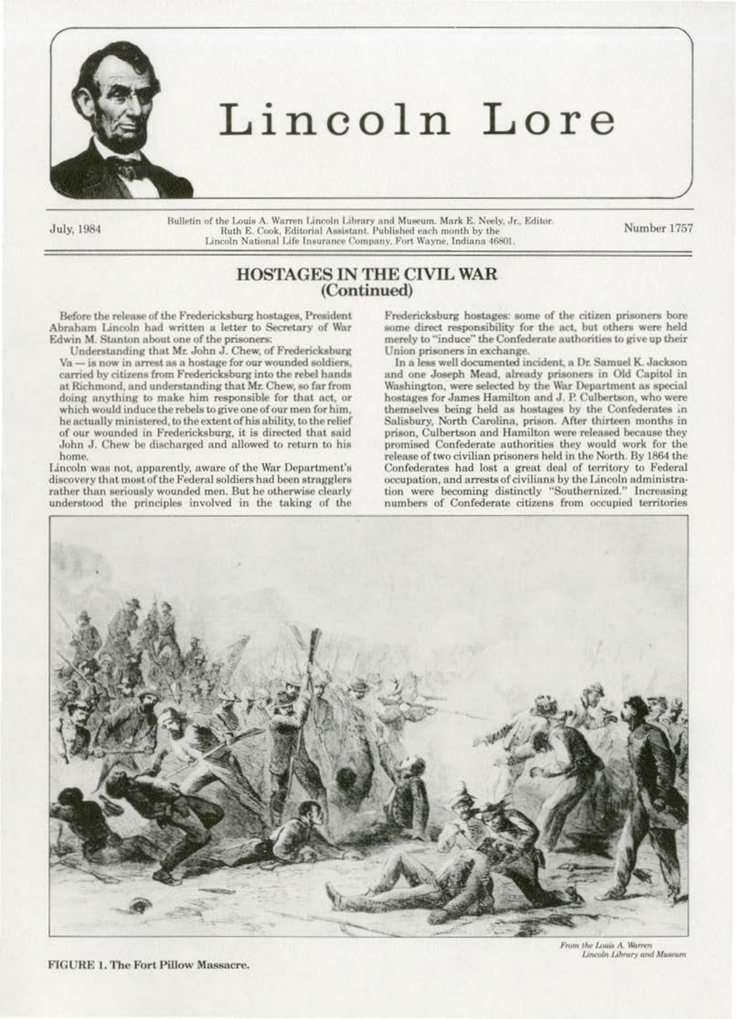

# Lincoln Lore

July, 1984

Bulletin of the Louis A. Warren Lincoln Library and Museum. Mark E. Neely, Jr., Editor. Ruth E. Cook, Editorial Assistant. Published each month by the Lincoln National Life Insurance Company, Fort Wayne, Indiana 46801.

Number 1757

## **HOSTAGES IN THE CIVIL WAR** (Continued)

Before the release of the Fredericksburg hostages, President Abraham Lincoln had written a letter to Secretary of War Edwin M. Stanton about one of the prisoners:

Understanding that Mr. John J. Chew, of Fredericksburg Va - is now in arrest as a hostage for our wounded soldiers, carried by citizens from Fredericksburg into the rebel hands at Richmond, and understanding that Mr. Chew, so far from doing anything to make him responsible for that act, or which would induce the rebels to give one of our men for him. he actually ministered, to the extent of his ability, to the relief of our wounded in Fredericksburg, it is directed that said John J. Chew be discharged and allowed to return to his home.

Lincoln was not, apparently, aware of the War Department's discovery that most of the Federal soldiers had been stragglers rather than seriously wounded men. But he otherwise clearly understood the principles involved in the taking of the

Fredericksburg hostages: some of the citizen prisoners bore some direct responsibility for the act, but others were held merely to "induce" the Confederate authorities to give up their Union prisoners in exchange.

In a less well documented incident, a Dr. Samuel K. Jackson and one Joseph Mead, already prisoners in Old Capitol in Washington, were selected by the War Department as special hostages for James Hamilton and J. P. Culbertson, who were themselves being held as hostages by the Confederates in Salisbury, North Carolina, prison. After thirteen months in prison, Culbertson and Hamilton were released because they promised Confederate authorities they would work for the release of two civilian prisoners held in the North. By 1864 the Confederates had lost a great deal of territory to Federal occupation, and arrests of civilians by the Lincoln administration were becoming distinctly "Southernized." Increasing numbers of Confederate citizens from occupied territories

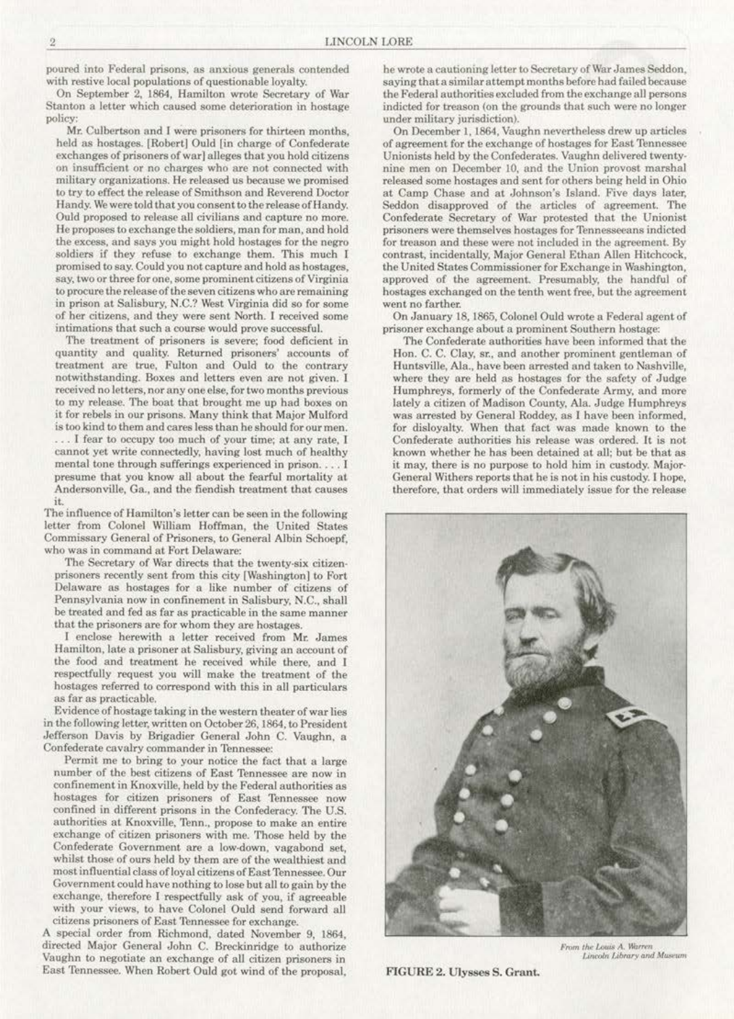poured into Federal prisons, as anxious generals contended with restive local populations of questionable loyalty.

On September 2, !864, Hamilton wrote Secretary of War Stanton a letter which caused some deterioration in hostage policy:

Mr. Culbertson and I were prisoners for thirteen months, held as hostages. [Robert] Ould [in charge of Confederate exchanges of prisoners of warl alleges that you hold citizens on insufficient or no charges who are not connected with military organizations. He released us because we promised to try to effect the release of Smithson and Reverend Doctor Handy. We were told that you consent to the release of Handy. Ould proposed to release all civilians and capture no more. He proposes to exchange the soldiers, man for man, and hold the excess, and says you might hold hostages for the negro soldiers if they refuse to exchange them. This much I promised to say. Could you not oapture and hold as hostages, say, two or three for one, some prominent citizens of Virginia to procure the release of the seven citizens who are remaining in prison at Salisbury, N.C.? West Virginia did so for some of her citizens, and tbey were sent North. I received some intimations that such a course would prove successful.

The treatment of prisoners is severe; food deficient in quantity and quality. Returned prisoners' accounts of treatment are true. Fulton and Ould to the contrary notwithstanding. Boxes and letters even are not given. I received no letters, nor any one else, for two months previous to my release. The boat that brought me up had boxes on it for rebels in our prisons. Many think that Major Mulford is too kind to them and cares less than he should for our men. ... I fear to occupy too much of your time; at any rate, I cannot yet write oonnectedJy, having lost much of healthy mental tone through sufferings experienced in prison ... . <sup>J</sup> presume that you know all about the fearful mortality at Andersonville, Ga., and the fiendish treatment that causes it.

The influence of Hamilton's letter can be seen in the following letter from Colonel William Hoffman, the United States Commissary General of Prisoners, to General Albin Schoepf, who was in command at Fort Delaware:

The Secretary of War directs that the twenty-six citizenprisoners recently sent from this city [Washington] to Fort Delaware as hostages for a like number of citizens of Pennsylvania now in confinement in Salisbury, N.C., shall be treated and fed as far as practicable in the same manner that the prisoners are for whom they are hostages.

I enclose herewith a letter received from Mr. James Hamilton, late a prisoner at Salisbury, giving an account of the food and treatment he received while there, and I respectfully request you will make the treatment of the hostages referred to correspond with this in all particulars as far as practicable.

Evidence of hostage taking in the western theater of war lies in the following letter, written on October 26, !864, to President Jefferson Davis by Brigadier General John C. Vaughn, a Confederate cavalry commander in Tennessee:

Permit me to bring to your notice the fact that a large number of the best citizens of East Tennessee are now in confinement in Knoxville, held by the Federal authorities as hostages for citizen prisoners of East Tennessee now confined in different prisons in the Confederacy. The U.S. authorities at Knoxville, Tenn., propose to make an entire exchange of citizen prisoners with me. Those held by the Confederate Government are a low-down, vagabond set, whilst those of ours held by them are of the wealthiest and most influential class of loyal citizens of East Tennessee. Our Government could have nothing to lose but all to gain by the exchange, therefore I respectfully ask of you, if agreeable with your views. to have Colonel Ould send forward all citizens prisoners of East Tennessee for exchange.

A special order from Richmond, dated November 9, 1864, directed Major General John C. Breckinridge to authorize Vaughn to negotiate an exchange of all citizen prisoners in East Tennessee. When Robert Ould got wind of the proposal,

he wrote a cautioning letter to Secretary of War James Seddon, saying that a similar attempt months before had failed because the Federal authorities excluded from the exchange all persons indicted for treason (on tbe grounds that such were no longer under military jurisdiction).

On December 1, l864, Vaughn nevertheless drew up articles of agreement for the exchange of hostages for East Tennessee Unionists held by the Confederates. Vaughn delivered twenty· nine men on December 10, and the Union provost marshal released some hostages and sent for others being held in Ohio at Camp Chase and at Johnson's Island. Five days later, Seddon disapproved of the articles of agreement. The Confederate Secretary of War protested that the Unionist prisoners were themselves hostages for Tennesseeans indicted for treason and these were not included in the agreement. By contrast, incidentally, Major General Ethan Allen Hitehcock, the United States Commissioner for Exchange in Washington, approved of the agreement. Presumably, the handful of hostages exchanged on the tenth went free, but the agreement went no farther.

On January 18, 1865, Colonel Ould wrote a Federal agent of prisoner exchange about a prominent Southern hostage:

The Confederate authorities have been informed that the Hon. C. C. Clay, sr., and another prominent gentleman of Huntsville, Ala., have been arrested and taken to Nashville, where they are held as hostages for the safety of Judge Humphreys, formerly of the Confederate Army, and more lately a citizen of Madison County, Ala. Judge Humphreys was arrested by General Roddey, as I have been informed, for disloyalty. When that fact was made known to the Confederate authorities his release was ordered. It is not known whether he has been detained at all; but be that as it may, there is no purpose to hold him in custody. Major-General Withers reports that he is not in his custody. I hope, therefore, that orders will immediately issue for the release



*From the Louis A. Warren* Lincoln Library and Museum

FIGURE 2. Ulysses S. Grant.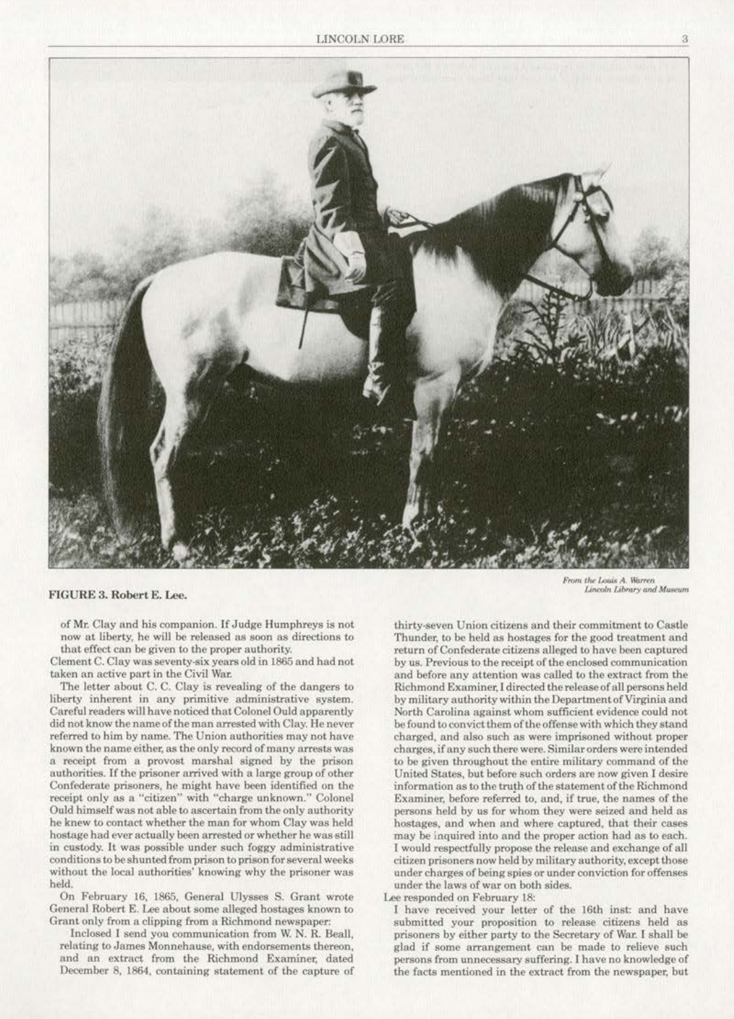

#### FIGURE 3. Robert E. Lee.

of Mr. Clay and his companion. If Judge Humphreys is not now at liberty, he will be released as soon as directions to that effect can be given to the proper authority.

Clement C. Clay was seventy-six years old in 1865 and had not taken an active part in the Civil War.

The letter about C. C. Clay is revealing of the dangers to liberty inherent in any primitive administrative system. Careful readers will have noticed that Colonel Ould apparently did not know the name of the man arrested with Clay. He never referred to him by name. The Union authorities may not have known the name either. as the only record of many arrests was a receipt from a provost marshal signed by the prison authorities. If the prisoner arrived with a large group of other Confederate prisoners, he might have been identified on the receipt only as a "citizen" with "charge unknown," Colonel Ould himself was not able to ascertain from the only authority he knew to contact whether the man for whom Clay was held hostage had ever actually been arrested or whether he was still in custody. It was possible under such foggy administrative conditions to be shunted from prison to prison for several weeks without the local authorities' knowing why the prisoner was held.

On February 16, 1865, General Ulysses S. Grant wrote General Robert E. Lee about some alleged hostages known to Grant only from a clipping from a Richmond newspaper:

Jnclosed I send you communication from W. N. R. Beall, relating to James Monnehause, with endorsements thereon, and an extract from the Richmond Examiner, dated December 8, 1864, containing statement of the capture of

*From the Louis A. Warren*<br>Lincoln Library and Museum

thirty-seven Union citizens and their commitment to Castle Thunder, to be held as hostages for the good treatment and return of Confederate citizens alleged to have been captured by us. Previous to the receipt of the enclosed communication and before any attention was called to the extract from the Richmond Examiner, I directed the release of all persons held by military authority within the Department of Virginia and North Carolina against whom sufficient evidence could not be found to convictthem of the offense with which they stand charged, and also such as were imprisoned without proper charges, if any such there were. Similar orders were intended to be given throughout the entire military command of the United States, but before such orders are now given I desire information as to the truth of the statement of the Richmond Examiner, before referred to, and, if true, the names of the persons held by us for whom they were seized and held as hostages, and when and where captured, that their cascs may be inquired into and the proper action had as to each. I would respectfully propose the release and exchange of all citizen prisoners now held by military authority, except those under charges of being spies or under conviction for offenses under the laws of war on both sides.

#### Lee responded on February 18:

I have received your letter of the 16th inst: and have submitted your proposition to release citizens held as prisoners by either party to the Secretary of War. I shall be glad if some arrangement can be made to relieve such persons from unnecessary suffering. 1 have no knowledge of the facts mentioned in the extract from the newspaper. but